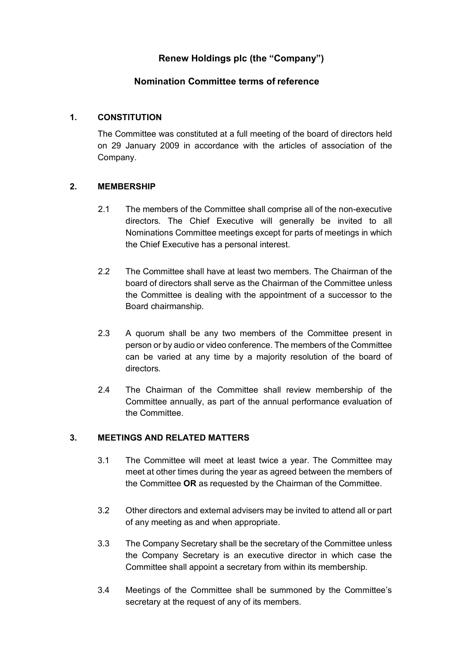# **Renew Holdings plc (the "Company")**

# **Nomination Committee terms of reference**

## **1. CONSTITUTION**

The Committee was constituted at a full meeting of the board of directors held on 29 January 2009 in accordance with the articles of association of the Company.

## **2. MEMBERSHIP**

- 2.1 The members of the Committee shall comprise all of the non-executive directors. The Chief Executive will generally be invited to all Nominations Committee meetings except for parts of meetings in which the Chief Executive has a personal interest.
- 2.2 The Committee shall have at least two members. The Chairman of the board of directors shall serve as the Chairman of the Committee unless the Committee is dealing with the appointment of a successor to the Board chairmanship.
- 2.3 A quorum shall be any two members of the Committee present in person or by audio or video conference. The members of the Committee can be varied at any time by a majority resolution of the board of directors.
- 2.4 The Chairman of the Committee shall review membership of the Committee annually, as part of the annual performance evaluation of the Committee.

### **3. MEETINGS AND RELATED MATTERS**

- 3.1 The Committee will meet at least twice a year. The Committee may meet at other times during the year as agreed between the members of the Committee **OR** as requested by the Chairman of the Committee.
- 3.2 Other directors and external advisers may be invited to attend all or part of any meeting as and when appropriate.
- 3.3 The Company Secretary shall be the secretary of the Committee unless the Company Secretary is an executive director in which case the Committee shall appoint a secretary from within its membership.
- 3.4 Meetings of the Committee shall be summoned by the Committee's secretary at the request of any of its members.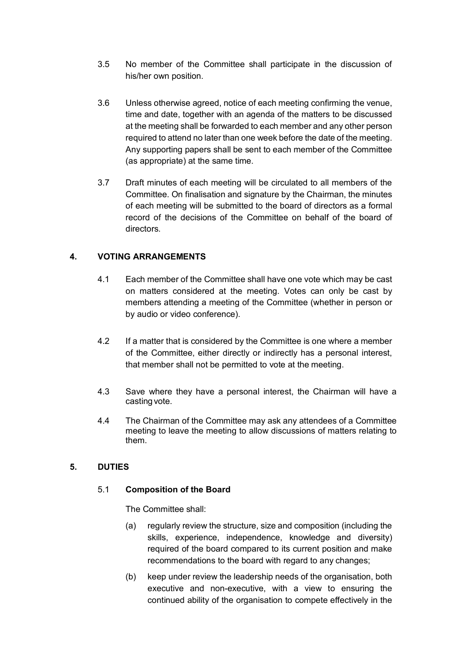- 3.5 No member of the Committee shall participate in the discussion of his/her own position.
- 3.6 Unless otherwise agreed, notice of each meeting confirming the venue, time and date, together with an agenda of the matters to be discussed at the meeting shall be forwarded to each member and any other person required to attend no later than one week before the date of the meeting. Any supporting papers shall be sent to each member of the Committee (as appropriate) at the same time.
- 3.7 Draft minutes of each meeting will be circulated to all members of the Committee. On finalisation and signature by the Chairman, the minutes of each meeting will be submitted to the board of directors as a formal record of the decisions of the Committee on behalf of the board of directors.

## **4. VOTING ARRANGEMENTS**

- 4.1 Each member of the Committee shall have one vote which may be cast on matters considered at the meeting. Votes can only be cast by members attending a meeting of the Committee (whether in person or by audio or video conference).
- 4.2 If a matter that is considered by the Committee is one where a member of the Committee, either directly or indirectly has a personal interest, that member shall not be permitted to vote at the meeting.
- 4.3 Save where they have a personal interest, the Chairman will have a casting vote.
- 4.4 The Chairman of the Committee may ask any attendees of a Committee meeting to leave the meeting to allow discussions of matters relating to them.

### **5. DUTIES**

### 5.1 **Composition of the Board**

The Committee shall:

- (a) regularly review the structure, size and composition (including the skills, experience, independence, knowledge and diversity) required of the board compared to its current position and make recommendations to the board with regard to any changes;
- (b) keep under review the leadership needs of the organisation, both executive and non-executive, with a view to ensuring the continued ability of the organisation to compete effectively in the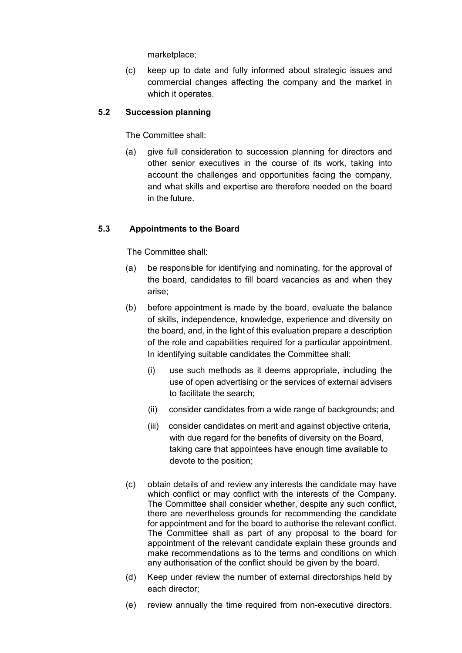marketplace;

(c) keep up to date and fully informed about strategic issues and commercial changes affecting the company and the market in which it operates.

#### **5.2 Succession planning**

The Committee shall:

(a) give full consideration to succession planning for directors and other senior executives in the course of its work, taking into account the challenges and opportunities facing the company, and what skills and expertise are therefore needed on the board in the future.

### **5.3 Appointments to the Board**

The Committee shall:

- (a) be responsible for identifying and nominating, for the approval of the board, candidates to fill board vacancies as and when they arise;
- (b) before appointment is made by the board, evaluate the balance of skills, independence, knowledge, experience and diversity on the board, and, in the light of this evaluation prepare a description of the role and capabilities required for a particular appointment. In identifying suitable candidates the Committee shall:
	- (i) use such methods as it deems appropriate, including the use of open advertising or the services of external advisers to facilitate the search;
	- (ii) consider candidates from a wide range of backgrounds; and
	- (iii) consider candidates on merit and against objective criteria, with due regard for the benefits of diversity on the Board, taking care that appointees have enough time available to devote to the position;
- (c) obtain details of and review any interests the candidate may have which conflict or may conflict with the interests of the Company. The Committee shall consider whether, despite any such conflict, there are nevertheless grounds for recommending the candidate for appointment and for the board to authorise the relevant conflict. The Committee shall as part of any proposal to the board for appointment of the relevant candidate explain these grounds and make recommendations as to the terms and conditions on which any authorisation of the conflict should be given by the board.
- (d) Keep under review the number of external directorships held by each director;
- (e) review annually the time required from non-executive directors.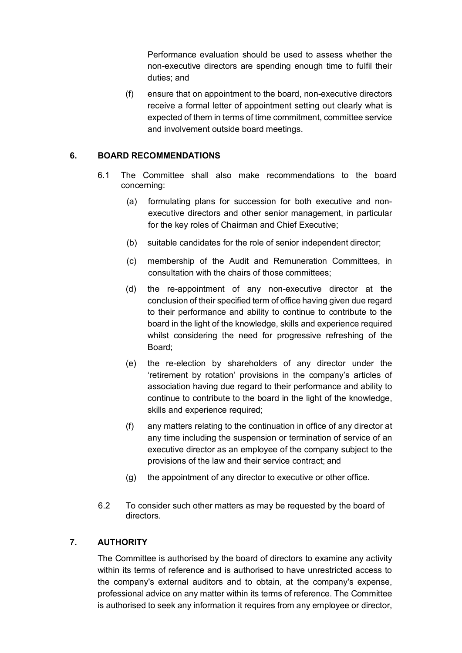Performance evaluation should be used to assess whether the non-executive directors are spending enough time to fulfil their duties; and

(f) ensure that on appointment to the board, non-executive directors receive a formal letter of appointment setting out clearly what is expected of them in terms of time commitment, committee service and involvement outside board meetings.

#### **6. BOARD RECOMMENDATIONS**

- 6.1 The Committee shall also make recommendations to the board concerning:
	- (a) formulating plans for succession for both executive and nonexecutive directors and other senior management, in particular for the key roles of Chairman and Chief Executive;
	- (b) suitable candidates for the role of senior independent director;
	- (c) membership of the Audit and Remuneration Committees, in consultation with the chairs of those committees;
	- (d) the re-appointment of any non-executive director at the conclusion of their specified term of office having given due regard to their performance and ability to continue to contribute to the board in the light of the knowledge, skills and experience required whilst considering the need for progressive refreshing of the Board;
	- (e) the re-election by shareholders of any director under the 'retirement by rotation' provisions in the company's articles of association having due regard to their performance and ability to continue to contribute to the board in the light of the knowledge, skills and experience required;
	- (f) any matters relating to the continuation in office of any director at any time including the suspension or termination of service of an executive director as an employee of the company subject to the provisions of the law and their service contract; and
	- (g) the appointment of any director to executive or other office.
- 6.2 To consider such other matters as may be requested by the board of directors.

### **7. AUTHORITY**

The Committee is authorised by the board of directors to examine any activity within its terms of reference and is authorised to have unrestricted access to the company's external auditors and to obtain, at the company's expense, professional advice on any matter within its terms of reference. The Committee is authorised to seek any information it requires from any employee or director,